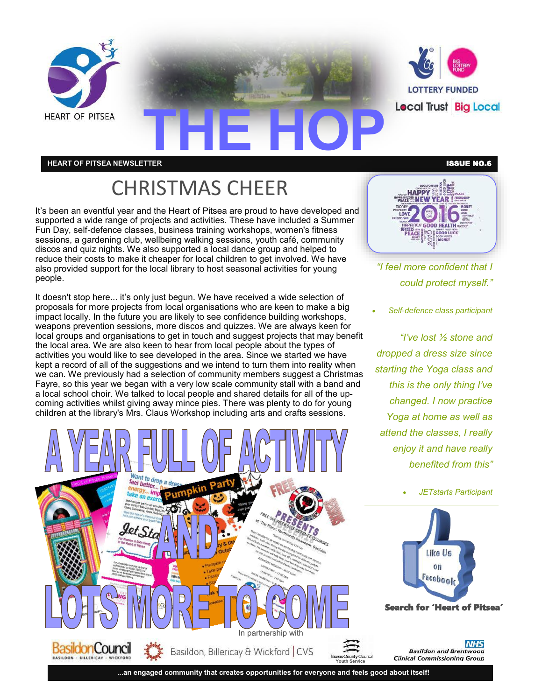

**HEART OF PITSEA NEWSLETTER** ISSUE NO.6

### CHRISTMAS CHEER

It's been an eventful year and the Heart of Pitsea are proud to have developed and supported a wide range of projects and activities. These have included a Summer Fun Day, self-defence classes, business training workshops, women's fitness sessions, a gardening club, wellbeing walking sessions, youth café, community discos and quiz nights. We also supported a local dance group and helped to reduce their costs to make it cheaper for local children to get involved. We have also provided support for the local library to host seasonal activities for young people.

It doesn't stop here... it's only just begun. We have received a wide selection of proposals for more projects from local organisations who are keen to make a big impact locally. In the future you are likely to see confidence building workshops, weapons prevention sessions, more discos and quizzes. We are always keen for local groups and organisations to get in touch and suggest projects that may benefit the local area. We are also keen to hear from local people about the types of activities you would like to see developed in the area. Since we started we have kept a record of all of the suggestions and we intend to turn them into reality when we can. We previously had a selection of community members suggest a Christmas Fayre, so this year we began with a very low scale community stall with a band and a local school choir. We talked to local people and shared details for all of the upcoming activities whilst giving away mince pies. There was plenty to do for young children at the library's Mrs. Claus Workshop including arts and crafts sessions.



PEACE MEW **YEAR!** LOW INEN GOOD HEALTH PEACE SCOOD LUCK

**HAPPY** 

*"I feel more confident that I could protect myself."*

*Self-defence class participant* 

*"I've lost ½ stone and dropped a dress size since starting the Yoga class and this is the only thing I've changed. I now practice Yoga at home as well as*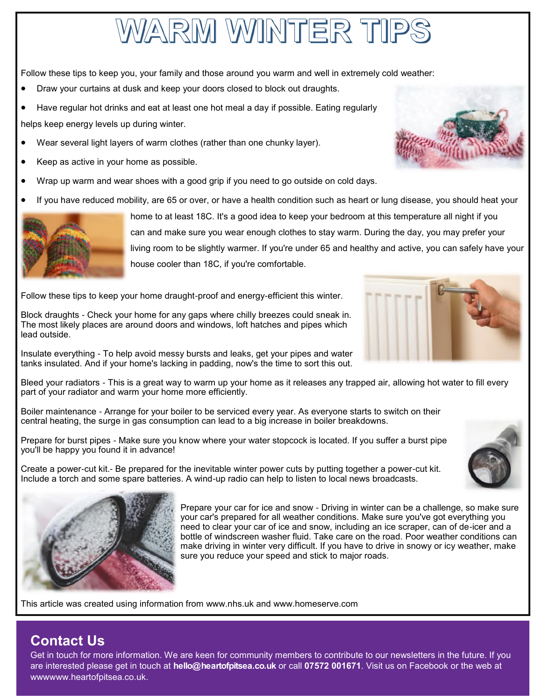## VARM WINTER TIP

Follow these tips to keep you, your family and those around you warm and well in extremely cold weather:

- Draw your curtains at dusk and keep your doors closed to block out draughts.
- Have regular hot drinks and eat at least one hot meal a day if possible. Eating regularly helps keep energy levels up during winter.
- Wear several light layers of warm clothes (rather than one chunky layer).
- Keep as active in your home as possible.
- Wrap up warm and wear shoes with a good grip if you need to go outside on cold days.
- If you have reduced mobility, are 65 or over, or have a health condition such as heart or lung disease, you should heat your



home to at least 18C. It's a good idea to keep your bedroom at this temperature all night if you can and make sure you wear enough clothes to stay warm. During the day, you may prefer your living room to be slightly warmer. If you're under 65 and healthy and active, you can safely have your house cooler than 18C, if you're comfortable.

Follow these tips to keep your home draught-proof and energy-efficient this winter.

Block draughts - Check your home for any gaps where chilly breezes could sneak in. The most likely places are around doors and windows, loft hatches and pipes which lead outside.

Insulate everything - To help avoid messy bursts and leaks, get your pipes and water tanks insulated. And if your home's lacking in padding, now's the time to sort this out.

Bleed your radiators - This is a great way to warm up your home as it releases any trapped air, allowing hot water to fill every part of your radiator and warm your home more efficiently.

Boiler maintenance - Arrange for your boiler to be serviced every year. As everyone starts to switch on their central heating, the surge in gas consumption can lead to a big increase in boiler breakdowns.

Prepare for burst pipes - Make sure you know where your water stopcock is located. If you suffer a burst pipe you'll be happy you found it in advance!



Create a power-cut kit.- Be prepared for the inevitable winter power cuts by putting together a power-cut kit. Include a torch and some spare batteries. A wind-up radio can help to listen to local news broadcasts.



Prepare your car for ice and snow - Driving in winter can be a challenge, so make sure your car's prepared for all weather conditions. Make sure you've got everything you need to clear your car of ice and snow, including an ice scraper, can of de-icer and a bottle of windscreen washer fluid. Take care on the road. Poor weather conditions can make driving in winter very difficult. If you have to drive in snowy or icy weather, make sure you reduce your speed and stick to major roads.

This article was created using information from www.nhs.uk and www.homeserve.com

### **Contact Us**

Get in touch for more information. We are keen for community members to contribute to our newsletters in the future. If you are interested please get in touch at **hello@heartofpitsea.co.uk** or call **07572 001671**. Visit us on Facebook or the web at wwwwww.heartofpitsea.co.uk.



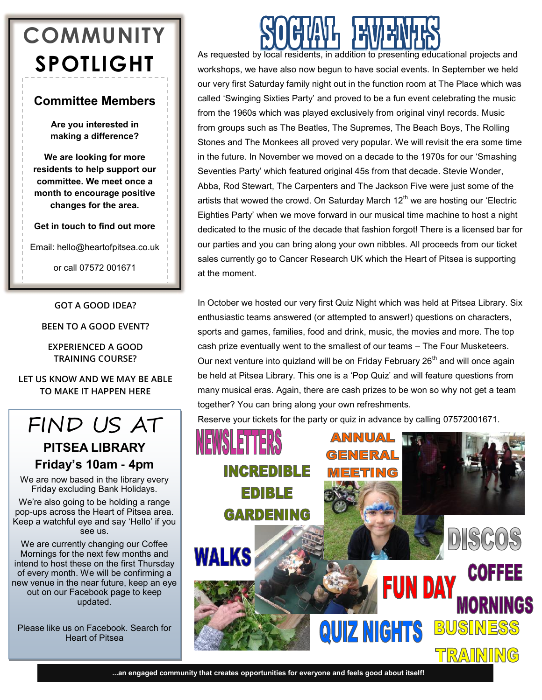## **COMMUNITY SPOTLIGHT**

### **Committee Members**

**Are you interested in making a difference?**

**We are looking for more residents to help support our committee. We meet once a month to encourage positive changes for the area.**

**Get in touch to find out more**

Email: hello@heartofpitsea.co.uk

or call 07572 001671

**GOT A GOOD IDEA?**

**BEEN TO A GOOD EVENT?**

**EXPERIENCED A GOOD TRAINING COURSE?**

**LET US KNOW AND WE MAY BE ABLE TO MAKE IT HAPPEN HERE**

### FIND US AT

### **PITSEA LIBRARY Friday's 10am - 4pm**

We are now based in the library every Friday excluding Bank Holidays.

We're also going to be holding a range pop-ups across the Heart of Pitsea area. Keep a watchful eye and say 'Hello' if you see us.

We are currently changing our Coffee Mornings for the next few months and intend to host these on the first Thursday of every month. We will be confirming a new venue in the near future, keep an eye out on our Facebook page to keep updated.

Please like us on Facebook. Search for Heart of Pitsea

As requested by local residents, in addition to presenting educational projects and workshops, we have also now begun to have social events. In September we held our very first Saturday family night out in the function room at The Place which was called 'Swinging Sixties Party' and proved to be a fun event celebrating the music from the 1960s which was played exclusively from original vinyl records. Music from groups such as The Beatles, The Supremes, The Beach Boys, The Rolling Stones and The Monkees all proved very popular. We will revisit the era some time in the future. In November we moved on a decade to the 1970s for our 'Smashing Seventies Party' which featured original 45s from that decade. Stevie Wonder, Abba, Rod Stewart, The Carpenters and The Jackson Five were just some of the artists that wowed the crowd. On Saturday March  $12<sup>th</sup>$  we are hosting our 'Electric Eighties Party' when we move forward in our musical time machine to host a night dedicated to the music of the decade that fashion forgot! There is a licensed bar for our parties and you can bring along your own nibbles. All proceeds from our ticket sales currently go to Cancer Research UK which the Heart of Pitsea is supporting at the moment.

In October we hosted our very first Quiz Night which was held at Pitsea Library. Six enthusiastic teams answered (or attempted to answer!) questions on characters, sports and games, families, food and drink, music, the movies and more. The top cash prize eventually went to the smallest of our teams – The Four Musketeers. Our next venture into quizland will be on Friday February  $26<sup>th</sup>$  and will once again be held at Pitsea Library. This one is a 'Pop Quiz' and will feature questions from many musical eras. Again, there are cash prizes to be won so why not get a team together? You can bring along your own refreshments.

Reserve your tickets for the party or quiz in advance by calling 07572001671.



**...an engaged community that creates opportunities for everyone and feels good about itself!**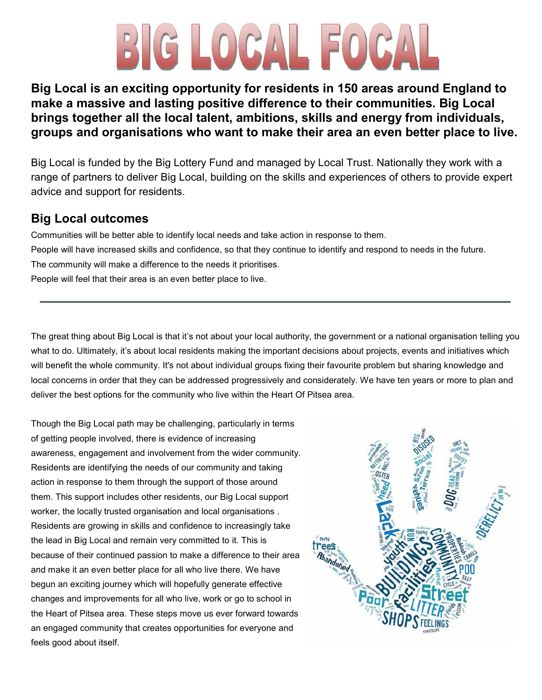# BIG LOCAL

### **Big Local is an exciting opportunity for residents in 150 areas around England to make a massive and lasting positive difference to their communities. Big Local brings together all the local talent, ambitions, skills and energy from individuals, groups and organisations who want to make their area an even better place to live.**

Big Local is funded by the Big Lottery Fund and managed by Local Trust. Nationally they work with a range of partners to deliver Big Local, building on the skills and experiences of others to provide expert advice and support for residents.

### **Big Local outcomes**

Communities will be better able to identify local needs and take action in response to them. People will have increased skills and confidence, so that they continue to identify and respond to needs in the future. The community will make a difference to the needs it prioritises. People will feel that their area is an even better place to live.

The great thing about Big Local is that it's not about your local authority, the government or a national organisation telling you what to do. Ultimately, it's about local residents making the important decisions about projects, events and initiatives which will benefit the whole community. It's not about individual groups fixing their favourite problem but sharing knowledge and local concerns in order that they can be addressed progressively and considerately. We have ten years or more to plan and deliver the best options for the community who live within the Heart Of Pitsea area.

Though the Big Local path may be challenging, particularly in terms of getting people involved, there is evidence of increasing awareness, engagement and involvement from the wider community. Residents are identifying the needs of our community and taking action in response to them through the support of those around them. This support includes other residents, our Big Local support worker, the locally trusted organisation and local organisations . Residents are growing in skills and confidence to increasingly take the lead in Big Local and remain very committed to it. This is because of their continued passion to make a difference to their area and make it an even better place for all who live there. We have begun an exciting journey which will hopefully generate effective changes and improvements for all who live, work or go to school in the Heart of Pitsea area. These steps move us ever forward towards an engaged community that creates opportunities for everyone and feels good about itself.

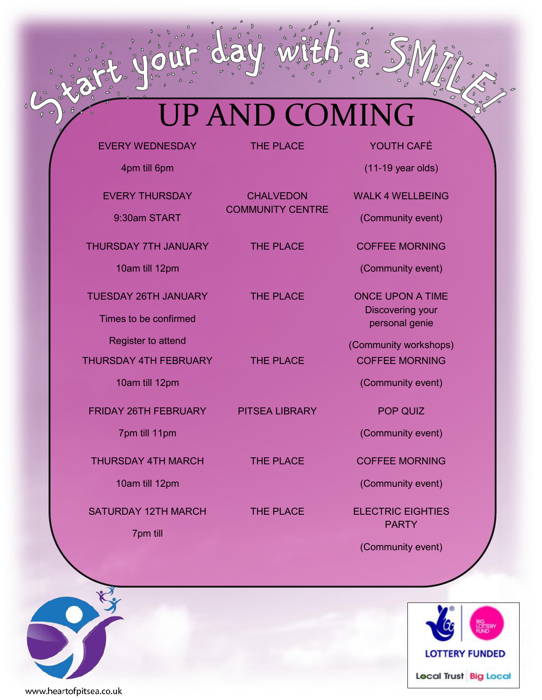## UP AND COMING

EVERY WEDNESDAY

THE PLACE YOUTH CAFÉ

4pm till 6pm

EVERY THURSDAY 9:30am START

THURSDAY 7TH JANUARY

10am till 12pm

TUESDAY 26TH JANUARY

Times to be confirmed

Register to attend

THURSDAY 4TH FEBRUARY

10am till 12pm

FRIDAY 26TH FEBRUARY

7pm till 11pm

THURSDAY 4TH MARCH

10am till 12pm

SATURDAY 12TH MARCH

7pm till

**CHALVEDON** COMMUNITY CENTRE

PITSEA LIBRARY POP QUIZ

(11-19 year olds)

WALK 4 WELLBEING

(Community event)

THE PLACE COFFEE MORNING

(Community event)

THE PLACE **ONCE UPON A TIME** Discovering your personal genie

(Community workshops) THE PLACE COFFEE MORNING

(Community event)

(Community event)

THE PLACE COFFEE MORNING

(Community event)

THE PLACE ELECTRIC EIGHTIES PARTY

(Community event)





www.heartofpitsea.co.uk